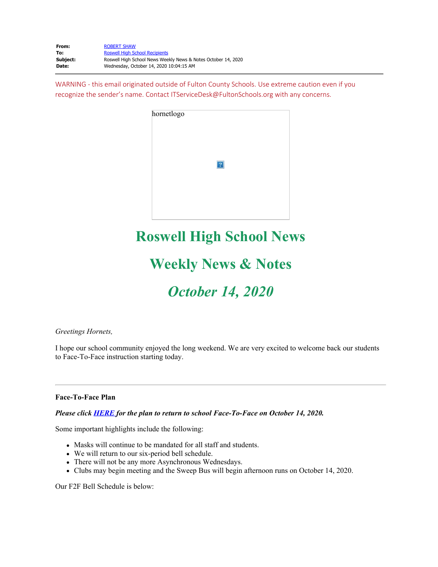| From:    | <b>ROBERT SHAW</b>                                            |
|----------|---------------------------------------------------------------|
| To:      | <b>Roswell High School Recipients</b>                         |
| Subiect: | Roswell High School News Weekly News & Notes October 14, 2020 |
| Date:    | Wednesday, October 14, 2020 10:04:15 AM                       |

WARNING - this email originated outside of Fulton County Schools. Use extreme caution even if you recognize the sender's name. Contact ITServiceDesk@FultonSchools.org with any concerns.

| hornetlogo |   |  |  |
|------------|---|--|--|
|            | ? |  |  |
|            |   |  |  |

## **Roswell High School News**

# **Weekly News & Notes**

# *October 14, 2020*

## *Greetings Hornets,*

I hope our school community enjoyed the long weekend. We are very excited to welcome back our students to Face-To-Face instruction starting today.

## **Face-To-Face Plan**

## *Please click [HERE](https://nam03.safelinks.protection.outlook.com/?url=http%3A%2F%2Fnew.shawadmin.com%2FRoswell%2FPublic%2FF2FPlanCommunity10-14-20.pdf&data=02%7C01%7Cmurphys%40fultonschools.org%7C8af69f2054f34692205408d87049d1a0%7C0cdcb19881694b70ba9fda7e3ba700c2%7C1%7C0%7C637382810542218859&sdata=20GeBFoZfUTFwB2LxLREm8o3iJ%2FCPLyeh6y2jV5T6d8%3D&reserved=0) for the plan to return to school Face-To-Face on October 14, 2020.*

Some important highlights include the following:

- Masks will continue to be mandated for all staff and students.
- We will return to our six-period bell schedule.
- There will not be any more Asynchronous Wednesdays.
- Clubs may begin meeting and the Sweep Bus will begin afternoon runs on October 14, 2020.

Our F2F Bell Schedule is below: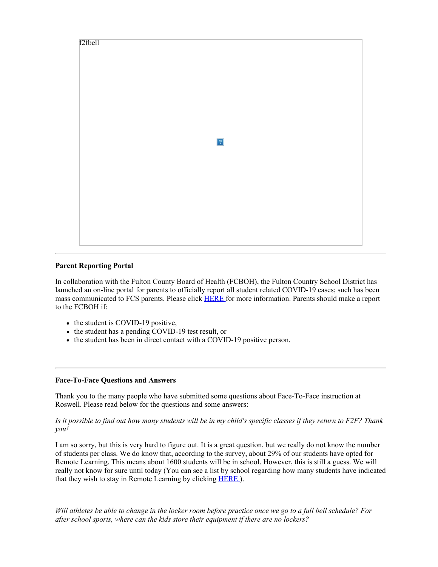

## **Parent Reporting Portal**

In collaboration with the Fulton County Board of Health (FCBOH), the Fulton Country School District has launched an on-line portal for parents to officially report all student related COVID-19 cases; such has been mass communicated to FCS parents. Please click [HERE](https://nam03.safelinks.protection.outlook.com/?url=http%3A%2F%2Fnew.shawadmin.com%2FRoswell%2FPublic%2FReportingPortalFlyer_Final.pdf&data=02%7C01%7Cmurphys%40fultonschools.org%7C8af69f2054f34692205408d87049d1a0%7C0cdcb19881694b70ba9fda7e3ba700c2%7C1%7C0%7C637382810542228856&sdata=IAmwv%2BNh35V5CBAY%2FXkZdk3v6HlcHmVpvhbjjSvTduQ%3D&reserved=0) for more information. Parents should make a report to the FCBOH if:

- the student is COVID-19 positive,
- the student has a pending COVID-19 test result, or
- the student has been in direct contact with a COVID-19 positive person.

## **Face-To-Face Questions and Answers**

Thank you to the many people who have submitted some questions about Face-To-Face instruction at Roswell. Please read below for the questions and some answers:

## *Is it possible to find out how many students will be in my child's specific classes if they return to F2F? Thank you!*

I am so sorry, but this is very hard to figure out. It is a great question, but we really do not know the number of students per class. We do know that, according to the survey, about 29% of our students have opted for Remote Learning. This means about 1600 students will be in school. However, this is still a guess. We will really not know for sure until today (You can see a list by school regarding how many students have indicated that they wish to stay in Remote Learning by clicking **[HERE](https://www.fultonschools.org/Page/21889)**).

*Will athletes be able to change in the locker room before practice once we go to a full bell schedule? For after school sports, where can the kids store their equipment if there are no lockers?*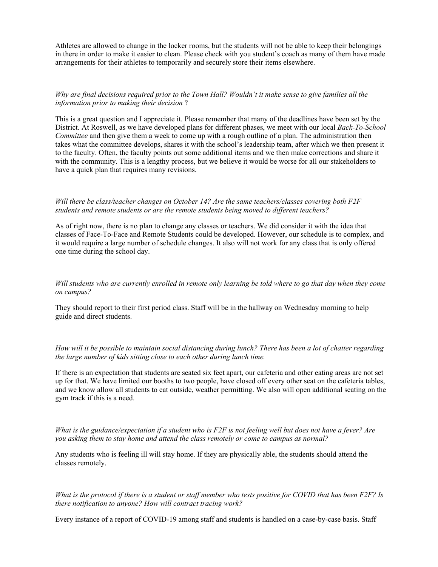Athletes are allowed to change in the locker rooms, but the students will not be able to keep their belongings in there in order to make it easier to clean. Please check with you student's coach as many of them have made arrangements for their athletes to temporarily and securely store their items elsewhere.

## *Why are final decisions required prior to the Town Hall? Wouldn't it make sense to give families all the information prior to making their decision* ?

This is a great question and I appreciate it. Please remember that many of the deadlines have been set by the District. At Roswell, as we have developed plans for different phases, we meet with our local *Back-To-School Committee* and then give them a week to come up with a rough outline of a plan. The administration then takes what the committee develops, shares it with the school's leadership team, after which we then present it to the faculty. Often, the faculty points out some additional items and we then make corrections and share it with the community. This is a lengthy process, but we believe it would be worse for all our stakeholders to have a quick plan that requires many revisions.

## *Will there be class/teacher changes on October 14? Are the same teachers/classes covering both F2F students and remote students or are the remote students being moved to different teachers?*

As of right now, there is no plan to change any classes or teachers. We did consider it with the idea that classes of Face-To-Face and Remote Students could be developed. However, our schedule is to complex, and it would require a large number of schedule changes. It also will not work for any class that is only offered one time during the school day.

## *Will students who are currently enrolled in remote only learning be told where to go that day when they come on campus?*

They should report to their first period class. Staff will be in the hallway on Wednesday morning to help guide and direct students.

*How will it be possible to maintain social distancing during lunch? There has been a lot of chatter regarding the large number of kids sitting close to each other during lunch time.*

If there is an expectation that students are seated six feet apart, our cafeteria and other eating areas are not set up for that. We have limited our booths to two people, have closed off every other seat on the cafeteria tables, and we know allow all students to eat outside, weather permitting. We also will open additional seating on the gym track if this is a need.

*What is the guidance/expectation if a student who is F2F is not feeling well but does not have a fever? Are you asking them to stay home and attend the class remotely or come to campus as normal?*

Any students who is feeling ill will stay home. If they are physically able, the students should attend the classes remotely.

*What is the protocol if there is a student or staff member who tests positive for COVID that has been F2F? Is there notification to anyone? How will contract tracing work?*

Every instance of a report of COVID-19 among staff and students is handled on a case-by-case basis. Staff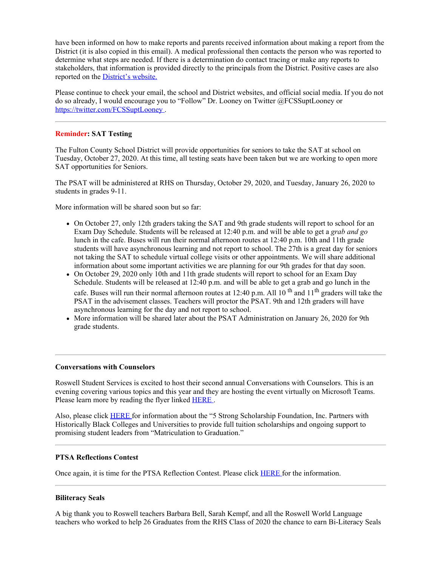have been informed on how to make reports and parents received information about making a report from the District (it is also copied in this email). A medical professional then contacts the person who was reported to determine what steps are needed. If there is a determination do contact tracing or make any reports to stakeholders, that information is provided directly to the principals from the District. Positive cases are also reported on the **[District's](https://www.fultonschools.org/Page/20960) website.** 

Please continue to check your email, the school and District websites, and official social media. If you do not do so already, I would encourage you to "Follow" Dr. Looney on Twitter @FCSSuptLooney or [https://twitter.com/FCSSuptLooney](https://nam03.safelinks.protection.outlook.com/?url=https%3A%2F%2Ftwitter.com%2FFCSSuptLooney&data=02%7C01%7Cmurphys%40fultonschools.org%7C8af69f2054f34692205408d87049d1a0%7C0cdcb19881694b70ba9fda7e3ba700c2%7C1%7C0%7C637382810542228856&sdata=hr%2Bh3Jg%2BW3xpWkSwbkyeHknsTkBoF3mfV%2BbhS7ig4nQ%3D&reserved=0).

## **Reminder: SAT Testing**

The Fulton County School District will provide opportunities for seniors to take the SAT at school on Tuesday, October 27, 2020. At this time, all testing seats have been taken but we are working to open more SAT opportunities for Seniors.

The PSAT will be administered at RHS on Thursday, October 29, 2020, and Tuesday, January 26, 2020 to students in grades 9-11.

More information will be shared soon but so far:

- On October 27, only 12th graders taking the SAT and 9th grade students will report to school for an Exam Day Schedule. Students will be released at 12:40 p.m. and will be able to get a *grab and go* lunch in the cafe. Buses will run their normal afternoon routes at 12:40 p.m. 10th and 11th grade students will have asynchronous learning and not report to school. The 27th is a great day for seniors not taking the SAT to schedule virtual college visits or other appointments. We will share additional information about some important activities we are planning for our 9th grades for that day soon.
- On October 29, 2020 only 10th and 11th grade students will report to school for an Exam Day Schedule. Students will be released at 12:40 p.m. and will be able to get a grab and go lunch in the cafe. Buses will run their normal afternoon routes at 12:40 p.m. All 10<sup>th</sup> and 11<sup>th</sup> graders will take the PSAT in the advisement classes. Teachers will proctor the PSAT. 9th and 12th graders will have asynchronous learning for the day and not report to school.
- More information will be shared later about the PSAT Administration on January 26, 2020 for 9th grade students.

## **Conversations with Counselors**

Roswell Student Services is excited to host their second annual Conversations with Counselors. This is an evening covering various topics and this year and they are hosting the event virtually on Microsoft Teams. Please learn more by reading the flyer linked **[HERE](https://nam03.safelinks.protection.outlook.com/?url=http%3A%2F%2Fnew.shawadmin.com%2FRoswell%2FPublic%2Fconversationswithcounselors.pdf&data=02%7C01%7Cmurphys%40fultonschools.org%7C8af69f2054f34692205408d87049d1a0%7C0cdcb19881694b70ba9fda7e3ba700c2%7C1%7C0%7C637382810542238840&sdata=FGJXLlQv5nBCFBUIISUGObYPHwBkp1Hazuf370M3vqs%3D&reserved=0)**.

Also, please click [HERE](https://nam03.safelinks.protection.outlook.com/?url=http%3A%2F%2Fnew.shawadmin.com%2FRoswell%2FPublic%2F5strong.pdf&data=02%7C01%7Cmurphys%40fultonschools.org%7C8af69f2054f34692205408d87049d1a0%7C0cdcb19881694b70ba9fda7e3ba700c2%7C1%7C0%7C637382810542238840&sdata=bextvXByi14xaVdCEUJNEfubktmgVpfggXOWMNW%2FRNU%3D&reserved=0) for information about the "5 Strong Scholarship Foundation, Inc. Partners with Historically Black Colleges and Universities to provide full tuition scholarships and ongoing support to promising student leaders from "Matriculation to Graduation."

## **PTSA Reflections Contest**

Once again, it is time for the PTSA Reflection Contest. Please click [HERE](https://nam03.safelinks.protection.outlook.com/?url=http%3A%2F%2Fnew.shawadmin.com%2FRoswell%2FPublic%2Fga-pta-student-packet-2020-21-1.docx&data=02%7C01%7Cmurphys%40fultonschools.org%7C8af69f2054f34692205408d87049d1a0%7C0cdcb19881694b70ba9fda7e3ba700c2%7C1%7C0%7C637382810542238840&sdata=vNGo4WY3dwdY1uf4CAnaJsEbf7c8T9Gr2Sqx3nBfyio%3D&reserved=0) for the information.

## **Biliteracy Seals**

A big thank you to Roswell teachers Barbara Bell, Sarah Kempf, and all the Roswell World Language teachers who worked to help 26 Graduates from the RHS Class of 2020 the chance to earn Bi-Literacy Seals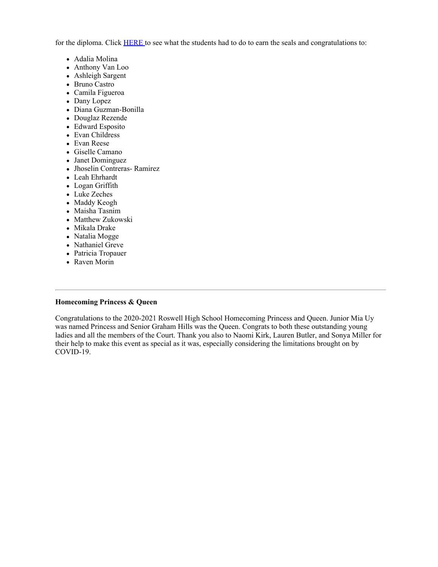for the diploma. Click [HERE](https://nam03.safelinks.protection.outlook.com/?url=https%3A%2F%2Fwww.gadoe.org%2FCurriculum-Instruction-and-Assessment%2FCurriculum-and-Instruction%2FPages%2FGeorgia%27s-Seal-of-Biliteracy.aspx&data=02%7C01%7Cmurphys%40fultonschools.org%7C8af69f2054f34692205408d87049d1a0%7C0cdcb19881694b70ba9fda7e3ba700c2%7C1%7C0%7C637382810542248833&sdata=QT5y8JylbE0IWGmUUR7kFIWIHH%2FUcfR3%2BkQPMvLwwhQ%3D&reserved=0) to see what the students had to do to earn the seals and congratulations to:

- Adalia Molina
- Anthony Van Loo
- Ashleigh Sargent
- Bruno Castro
- Camila Figueroa
- Dany Lopez
- Diana Guzman-Bonilla
- Douglaz Rezende
- Edward Esposito
- Evan Childress
- Evan Reese
- Giselle Camano
- Janet Dominguez
- Jhoselin Contreras- Ramirez
- Leah Ehrhardt
- Logan Griffith
- Luke Zeches
- Maddy Keogh
- Maisha Tasnim
- Matthew Zukowski
- Mikala Drake
- Natalia Mogge
- Nathaniel Greve
- Patricia Tropauer
- Raven Morin

## **Homecoming Princess & Queen**

Congratulations to the 2020-2021 Roswell High School Homecoming Princess and Queen. Junior Mia Uy was named Princess and Senior Graham Hills was the Queen. Congrats to both these outstanding young ladies and all the members of the Court. Thank you also to Naomi Kirk, Lauren Butler, and Sonya Miller for their help to make this event as special as it was, especially considering the limitations brought on by COVID-19.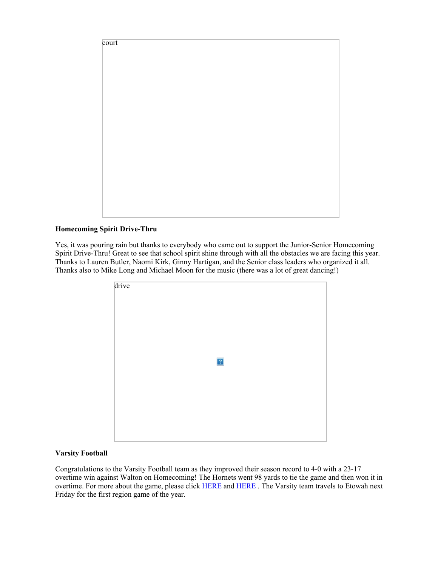

## **Homecoming Spirit Drive-Thru**

Yes, it was pouring rain but thanks to everybody who came out to support the Junior-Senior Homecoming Spirit Drive-Thru! Great to see that school spirit shine through with all the obstacles we are facing this year. Thanks to Lauren Butler, Naomi Kirk, Ginny Hartigan, and the Senior class leaders who organized it all. Thanks also to Mike Long and Michael Moon for the music (there was a lot of great dancing!)

| drive |             |  |
|-------|-------------|--|
|       |             |  |
|       |             |  |
|       |             |  |
|       |             |  |
|       |             |  |
|       |             |  |
|       | $\boxed{?}$ |  |
|       |             |  |
|       |             |  |
|       |             |  |
|       |             |  |
|       |             |  |
|       |             |  |
|       |             |  |
|       |             |  |

## **Varsity Football**

Congratulations to the Varsity Football team as they improved their season record to 4-0 with a 23-17 overtime win against Walton on Homecoming! The Hornets went 98 yards to tie the game and then won it in overtime. For more about the game, please click **[HERE](https://nam03.safelinks.protection.outlook.com/?url=https%3A%2F%2Fwww.northfulton.com%2Fsports%2Fhornets-win-overtime-thriller-against-walton%2Farticle_97504836-0b24-11eb-9acd-47ae14ea7505.html%23utm_campaign%3Dblox%26utm_source%3Dtwitter%26utm_medium%3Dsocial&data=02%7C01%7Cmurphys%40fultonschools.org%7C8af69f2054f34692205408d87049d1a0%7C0cdcb19881694b70ba9fda7e3ba700c2%7C1%7C0%7C637382810542258831&sdata=a7GKoOCODEhPPBGCVPYOr6umqkXrBtkCr7nbGeao%2BKA%3D&reserved=0)** and HERE. The Varsity team travels to Etowah next Friday for the first region game of the year.